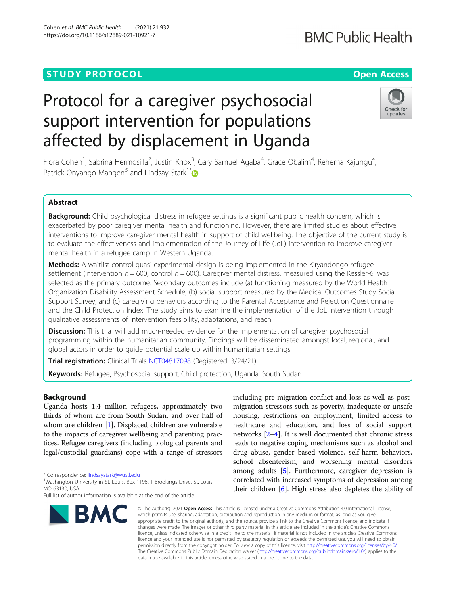# **STUDY PROTOCOL CONSUMING THE RESERVE ACCESS**

# Protocol for a caregiver psychosocial support intervention for populations affected by displacement in Uganda

Flora Cohen<sup>1</sup>, Sabrina Hermosilla<sup>2</sup>, Justin Knox<sup>3</sup>, Gary Samuel Agaba<sup>4</sup>, Grace Obalim<sup>4</sup>, Rehema Kajungu<sup>4</sup> , Patrick Onyango Mangen<sup>5</sup> and Lindsay Stark<sup>1[\\*](http://orcid.org/0000-0002-8775-9735)</sup>

## Abstract

Background: Child psychological distress in refugee settings is a significant public health concern, which is exacerbated by poor caregiver mental health and functioning. However, there are limited studies about effective interventions to improve caregiver mental health in support of child wellbeing. The objective of the current study is to evaluate the effectiveness and implementation of the Journey of Life (JoL) intervention to improve caregiver mental health in a refugee camp in Western Uganda.

Methods: A waitlist-control quasi-experimental design is being implemented in the Kiryandongo refugee settlement (intervention  $n = 600$ , control  $n = 600$ ). Caregiver mental distress, measured using the Kessler-6, was selected as the primary outcome. Secondary outcomes include (a) functioning measured by the World Health Organization Disability Assessment Schedule, (b) social support measured by the Medical Outcomes Study Social Support Survey, and (c) caregiving behaviors according to the Parental Acceptance and Rejection Questionnaire and the Child Protection Index. The study aims to examine the implementation of the JoL intervention through qualitative assessments of intervention feasibility, adaptations, and reach.

Discussion: This trial will add much-needed evidence for the implementation of caregiver psychosocial programming within the humanitarian community. Findings will be disseminated amongst local, regional, and global actors in order to guide potential scale up within humanitarian settings.

Trial registration: Clinical Trials [NCT04817098](https://clinicaltrials.gov/ct2/show/NCT04817098) (Registered: 3/24/21).

Keywords: Refugee, Psychosocial support, Child protection, Uganda, South Sudan

## Background

Uganda hosts 1.4 million refugees, approximately two thirds of whom are from South Sudan, and over half of whom are children [\[1](#page-6-0)]. Displaced children are vulnerable to the impacts of caregiver wellbeing and parenting practices. Refugee caregivers (including biological parents and legal/custodial guardians) cope with a range of stressors

\* Correspondence: [lindsaystark@wustl.edu](mailto:lindsaystark@wustl.edu) <sup>1</sup>

## Cohen et al. BMC Public Health (2021) 21:932 https://doi.org/10.1186/s12889-021-10921-7

**BMC** 

migration stressors such as poverty, inadequate or unsafe housing, restrictions on employment, limited access to healthcare and education, and loss of social support networks [[2](#page-6-0)–[4](#page-6-0)]. It is well documented that chronic stress leads to negative coping mechanisms such as alcohol and drug abuse, gender based violence, self-harm behaviors, school absenteeism, and worsening mental disorders among adults [[5](#page-6-0)]. Furthermore, caregiver depression is correlated with increased symptoms of depression among their children [\[6\]](#page-6-0). High stress also depletes the ability of

including pre-migration conflict and loss as well as post-

© The Author(s), 2021 **Open Access** This article is licensed under a Creative Commons Attribution 4.0 International License, which permits use, sharing, adaptation, distribution and reproduction in any medium or format, as long as you give appropriate credit to the original author(s) and the source, provide a link to the Creative Commons licence, and indicate if changes were made. The images or other third party material in this article are included in the article's Creative Commons licence, unless indicated otherwise in a credit line to the material. If material is not included in the article's Creative Commons licence and your intended use is not permitted by statutory regulation or exceeds the permitted use, you will need to obtain permission directly from the copyright holder. To view a copy of this licence, visit [http://creativecommons.org/licenses/by/4.0/.](http://creativecommons.org/licenses/by/4.0/) The Creative Commons Public Domain Dedication waiver [\(http://creativecommons.org/publicdomain/zero/1.0/](http://creativecommons.org/publicdomain/zero/1.0/)) applies to the data made available in this article, unless otherwise stated in a credit line to the data.







<sup>&</sup>lt;sup>1</sup>Washington University in St. Louis, Box 1196, 1 Brookings Drive, St. Louis, MO 63130, USA

Full list of author information is available at the end of the article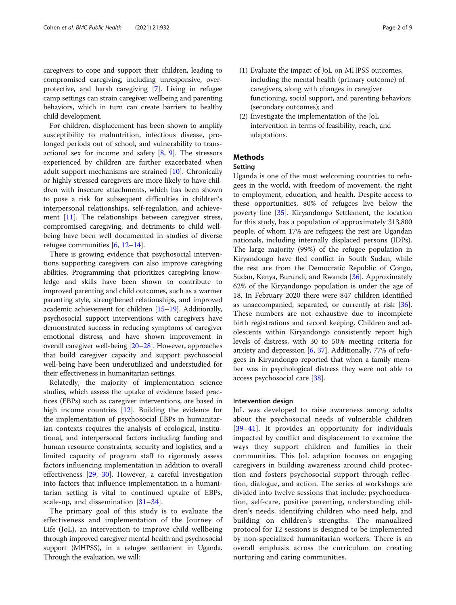caregivers to cope and support their children, leading to compromised caregiving, including unresponsive, overprotective, and harsh caregiving [[7](#page-6-0)]. Living in refugee camp settings can strain caregiver wellbeing and parenting behaviors, which in turn can create barriers to healthy child development.

For children, displacement has been shown to amplify susceptibility to malnutrition, infectious disease, prolonged periods out of school, and vulnerability to transactional sex for income and safety  $[8, 9]$  $[8, 9]$  $[8, 9]$ . The stressors experienced by children are further exacerbated when adult support mechanisms are strained [[10\]](#page-6-0). Chronically or highly stressed caregivers are more likely to have children with insecure attachments, which has been shown to pose a risk for subsequent difficulties in children's interpersonal relationships, self-regulation, and achieve-ment [\[11\]](#page-6-0). The relationships between caregiver stress, compromised caregiving, and detriments to child wellbeing have been well documented in studies of diverse refugee communities [[6](#page-6-0), [12](#page-6-0)–[14](#page-7-0)].

There is growing evidence that psychosocial interventions supporting caregivers can also improve caregiving abilities. Programming that prioritizes caregiving knowledge and skills have been shown to contribute to improved parenting and child outcomes, such as a warmer parenting style, strengthened relationships, and improved academic achievement for children [[15](#page-7-0)–[19\]](#page-7-0). Additionally, psychosocial support interventions with caregivers have demonstrated success in reducing symptoms of caregiver emotional distress, and have shown improvement in overall caregiver well-being [[20](#page-7-0)–[28\]](#page-7-0). However, approaches that build caregiver capacity and support psychosocial well-being have been underutilized and understudied for their effectiveness in humanitarian settings.

Relatedly, the majority of implementation science studies, which assess the uptake of evidence based practices (EBPs) such as caregiver interventions, are based in high income countries [[12\]](#page-6-0). Building the evidence for the implementation of psychosocial EBPs in humanitarian contexts requires the analysis of ecological, institutional, and interpersonal factors including funding and human resource constraints, security and logistics, and a limited capacity of program staff to rigorously assess factors influencing implementation in addition to overall effectiveness [[29,](#page-7-0) [30\]](#page-7-0). However, a careful investigation into factors that influence implementation in a humanitarian setting is vital to continued uptake of EBPs, scale-up, and dissemination  $[31-34]$  $[31-34]$  $[31-34]$  $[31-34]$ .

The primary goal of this study is to evaluate the effectiveness and implementation of the Journey of Life (JoL), an intervention to improve child wellbeing through improved caregiver mental health and psychosocial support (MHPSS), in a refugee settlement in Uganda. Through the evaluation, we will:

- (1) Evaluate the impact of JoL on MHPSS outcomes, including the mental health (primary outcome) of caregivers, along with changes in caregiver functioning, social support, and parenting behaviors (secondary outcomes); and
- (2) Investigate the implementation of the JoL intervention in terms of feasibility, reach, and adaptations.

## **Methods**

## Setting

Uganda is one of the most welcoming countries to refugees in the world, with freedom of movement, the right to employment, education, and health. Despite access to these opportunities, 80% of refugees live below the poverty line [[35\]](#page-7-0). Kiryandongo Settlement, the location for this study, has a population of approximately 313,800 people, of whom 17% are refugees; the rest are Ugandan nationals, including internally displaced persons (IDPs). The large majority (99%) of the refugee population in Kiryandongo have fled conflict in South Sudan, while the rest are from the Democratic Republic of Congo, Sudan, Kenya, Burundi, and Rwanda [[36\]](#page-7-0). Approximately 62% of the Kiryandongo population is under the age of 18. In February 2020 there were 847 children identified as unaccompanied, separated, or currently at risk [\[36](#page-7-0)]. These numbers are not exhaustive due to incomplete birth registrations and record keeping. Children and adolescents within Kiryandongo consistently report high levels of distress, with 30 to 50% meeting criteria for anxiety and depression [[6,](#page-6-0) [37\]](#page-7-0). Additionally, 77% of refugees in Kiryandongo reported that when a family member was in psychological distress they were not able to access psychosocial care [[38\]](#page-7-0).

## Intervention design

JoL was developed to raise awareness among adults about the psychosocial needs of vulnerable children [[39](#page-7-0)–[41](#page-7-0)]. It provides an opportunity for individuals impacted by conflict and displacement to examine the ways they support children and families in their communities. This JoL adaption focuses on engaging caregivers in building awareness around child protection and fosters psychosocial support through reflection, dialogue, and action. The series of workshops are divided into twelve sessions that include; psychoeducation, self-care, positive parenting, understanding children's needs, identifying children who need help, and building on children's strengths. The manualized protocol for 12 sessions is designed to be implemented by non-specialized humanitarian workers. There is an overall emphasis across the curriculum on creating nurturing and caring communities.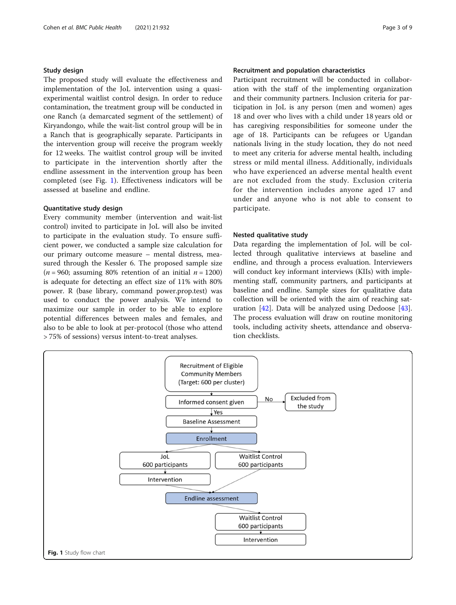## Study design

The proposed study will evaluate the effectiveness and implementation of the JoL intervention using a quasiexperimental waitlist control design. In order to reduce contamination, the treatment group will be conducted in one Ranch (a demarcated segment of the settlement) of Kiryandongo, while the wait-list control group will be in a Ranch that is geographically separate. Participants in the intervention group will receive the program weekly for 12 weeks. The waitlist control group will be invited to participate in the intervention shortly after the endline assessment in the intervention group has been completed (see Fig. 1). Effectiveness indicators will be assessed at baseline and endline.

## Quantitative study design

Every community member (intervention and wait-list control) invited to participate in JoL will also be invited to participate in the evaluation study. To ensure sufficient power, we conducted a sample size calculation for our primary outcome measure – mental distress, measured through the Kessler 6. The proposed sample size ( $n = 960$ ; assuming 80% retention of an initial  $n = 1200$ ) is adequate for detecting an effect size of 11% with 80% power. R (base library, command power.prop.test) was used to conduct the power analysis. We intend to maximize our sample in order to be able to explore potential differences between males and females, and also to be able to look at per-protocol (those who attend > 75% of sessions) versus intent-to-treat analyses.

## Recruitment and population characteristics

Participant recruitment will be conducted in collaboration with the staff of the implementing organization and their community partners. Inclusion criteria for participation in JoL is any person (men and women) ages 18 and over who lives with a child under 18 years old or has caregiving responsibilities for someone under the age of 18. Participants can be refugees or Ugandan nationals living in the study location, they do not need to meet any criteria for adverse mental health, including stress or mild mental illness. Additionally, individuals who have experienced an adverse mental health event are not excluded from the study. Exclusion criteria for the intervention includes anyone aged 17 and under and anyone who is not able to consent to participate.

## Nested qualitative study

Data regarding the implementation of JoL will be collected through qualitative interviews at baseline and endline, and through a process evaluation. Interviewers will conduct key informant interviews (KIIs) with implementing staff, community partners, and participants at baseline and endline. Sample sizes for qualitative data collection will be oriented with the aim of reaching saturation [[42](#page-7-0)]. Data will be analyzed using Dedoose [\[43](#page-7-0)]. The process evaluation will draw on routine monitoring tools, including activity sheets, attendance and observation checklists.

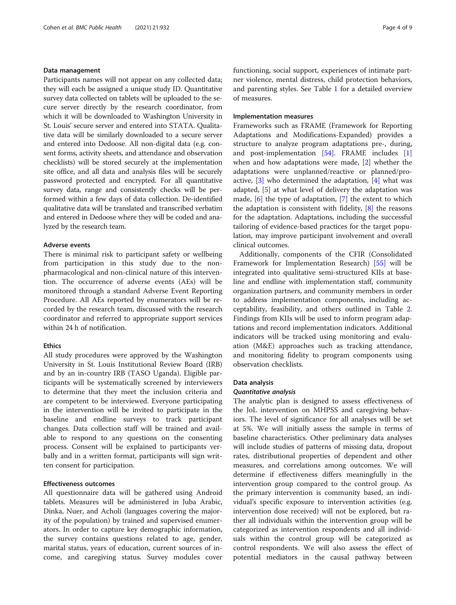## Data management

Participants names will not appear on any collected data; they will each be assigned a unique study ID. Quantitative survey data collected on tablets will be uploaded to the secure server directly by the research coordinator, from which it will be downloaded to Washington University in St. Louis' secure server and entered into STATA. Qualitative data will be similarly downloaded to a secure server and entered into Dedoose. All non-digital data (e.g. consent forms, activity sheets, and attendance and observation checklists) will be stored securely at the implementation site office, and all data and analysis files will be securely password protected and encrypted. For all quantitative survey data, range and consistently checks will be performed within a few days of data collection. De-identified qualitative data will be translated and transcribed verbatim and entered in Dedoose where they will be coded and analyzed by the research team.

## Adverse events

There is minimal risk to participant safety or wellbeing from participation in this study due to the nonpharmacological and non-clinical nature of this intervention. The occurrence of adverse events (AEs) will be monitored through a standard Adverse Event Reporting Procedure. All AEs reported by enumerators will be recorded by the research team, discussed with the research coordinator and referred to appropriate support services within 24 h of notification.

## Ethics

All study procedures were approved by the Washington University in St. Louis Institutional Review Board (IRB) and by an in-country IRB (TASO Uganda). Eligible participants will be systematically screened by interviewers to determine that they meet the inclusion criteria and are competent to be interviewed. Everyone participating in the intervention will be invited to participate in the baseline and endline surveys to track participant changes. Data collection staff will be trained and available to respond to any questions on the consenting process. Consent will be explained to participants verbally and in a written format, participants will sign written consent for participation.

## Effectiveness outcomes

All questionnaire data will be gathered using Android tablets. Measures will be administered in Juba Arabic, Dinka, Nuer, and Acholi (languages covering the majority of the population) by trained and supervised enumerators. In order to capture key demographic information, the survey contains questions related to age, gender, marital status, years of education, current sources of income, and caregiving status. Survey modules cover functioning, social support, experiences of intimate partner violence, mental distress, child protection behaviors, and parenting styles. See Table [1](#page-4-0) for a detailed overview of measures.

## Implementation measures

Frameworks such as FRAME (Framework for Reporting Adaptations and Modifications-Expanded) provides a structure to analyze program adaptations pre-, during, and post-implementation [\[54](#page-8-0)]. FRAME includes [\[1](#page-6-0)] when and how adaptations were made, [[2](#page-6-0)] whether the adaptations were unplanned/reactive or planned/proactive,  $\begin{bmatrix} 3 \end{bmatrix}$  who determined the adaptation,  $\begin{bmatrix} 4 \end{bmatrix}$  what was adapted, [[5\]](#page-6-0) at what level of delivery the adaptation was made, [[6](#page-6-0)] the type of adaptation, [\[7](#page-6-0)] the extent to which the adaptation is consistent with fidelity, [\[8\]](#page-6-0) the reasons for the adaptation. Adaptations, including the successful tailoring of evidence-based practices for the target population, may improve participant involvement and overall clinical outcomes.

Additionally, components of the CFIR (Consolidated Framework for Implementation Research) [\[55](#page-8-0)] will be integrated into qualitative semi-structured KIIs at baseline and endline with implementation staff, community organization partners, and community members in order to address implementation components, including acceptability, feasibility, and others outlined in Table [2](#page-4-0). Findings from KIIs will be used to inform program adaptations and record implementation indicators. Additional indicators will be tracked using monitoring and evaluation (M&E) approaches such as tracking attendance, and monitoring fidelity to program components using observation checklists.

#### Data analysis

### Quantitative analysis

The analytic plan is designed to assess effectiveness of the JoL intervention on MHPSS and caregiving behaviors. The level of significance for all analyses will be set at 5%. We will initially assess the sample in terms of baseline characteristics. Other preliminary data analyses will include studies of patterns of missing data, dropout rates, distributional properties of dependent and other measures, and correlations among outcomes. We will determine if effectiveness differs meaningfully in the intervention group compared to the control group. As the primary intervention is community based, an individual's specific exposure to intervention activities (e.g. intervention dose received) will not be explored, but rather all individuals within the intervention group will be categorized as intervention respondents and all individuals within the control group will be categorized as control respondents. We will also assess the effect of potential mediators in the causal pathway between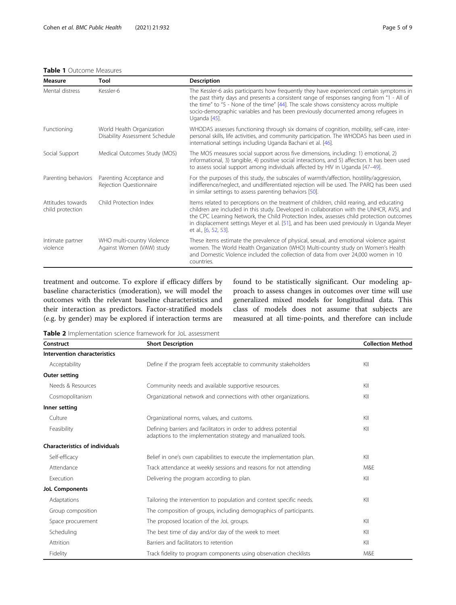## <span id="page-4-0"></span>Table 1 Outcome Measures

| Measure                               | Tool                                                        | <b>Description</b>                                                                                                                                                                                                                                                                                                                                                                                   |
|---------------------------------------|-------------------------------------------------------------|------------------------------------------------------------------------------------------------------------------------------------------------------------------------------------------------------------------------------------------------------------------------------------------------------------------------------------------------------------------------------------------------------|
| Mental distress                       | Kessler-6                                                   | The Kessler-6 asks participants how frequently they have experienced certain symptoms in<br>the past thirty days and presents a consistent range of responses ranging from "1 - All of<br>the time" to "5 - None of the time" [44]. The scale shows consistency across multiple<br>socio-demographic variables and has been previously documented among refugees in<br>Uganda [45].                  |
| Functioning                           | World Health Organization<br>Disability Assessment Schedule | WHODAS assesses functioning through six domains of cognition, mobility, self-care, inter-<br>personal skills, life activities, and community participation. The WHODAS has been used in<br>international settings including Uganda Bachani et al. [46].                                                                                                                                              |
| Social Support                        | Medical Outcomes Study (MOS)                                | The MOS measures social support across five dimensions, including: 1) emotional, 2)<br>informational, 3) tangible, 4) positive social interactions, and 5) affection. It has been used<br>to assess social support among individuals affected by HIV in Uganda [47-49].                                                                                                                              |
| Parenting behaviors                   | Parenting Acceptance and<br>Rejection Questionnaire         | For the purposes of this study, the subscales of warmth/affection, hostility/aggression,<br>indifference/neglect, and undifferentiated rejection will be used. The PARQ has been used<br>in similar settings to assess parenting behaviors [50].                                                                                                                                                     |
| Attitudes towards<br>child protection | Child Protection Index                                      | Items related to perceptions on the treatment of children, child rearing, and educating<br>children are included in this study. Developed in collaboration with the UNHCR, AVSI, and<br>the CPC Learning Network, the Child Protection Index, assesses child protection outcomes<br>in displacement settings Meyer et al. [51], and has been used previously in Uganda Meyer<br>et al., [6, 52, 53]. |
| Intimate partner<br>violence          | WHO multi-country Violence<br>Against Women (VAW) study     | These items estimate the prevalence of physical, sexual, and emotional violence against<br>women. The World Health Organization (WHO) Multi-country study on Women's Health<br>and Domestic Violence included the collection of data from over 24,000 women in 10<br>countries.                                                                                                                      |

treatment and outcome. To explore if efficacy differs by baseline characteristics (moderation), we will model the outcomes with the relevant baseline characteristics and their interaction as predictors. Factor-stratified models (e.g. by gender) may be explored if interaction terms are found to be statistically significant. Our modeling approach to assess changes in outcomes over time will use generalized mixed models for longitudinal data. This class of models does not assume that subjects are measured at all time-points, and therefore can include

Table 2 Implementation science framework for JoL assessment

| Construct                             | <b>Short Description</b>                                                                                                           | <b>Collection Method</b> |
|---------------------------------------|------------------------------------------------------------------------------------------------------------------------------------|--------------------------|
| Intervention characteristics          |                                                                                                                                    |                          |
| Acceptability                         | Define if the program feels acceptable to community stakeholders                                                                   | KII                      |
| <b>Outer setting</b>                  |                                                                                                                                    |                          |
| Needs & Resources                     | Community needs and available supportive resources.                                                                                | KII                      |
| Cosmopolitanism                       | Organizational network and connections with other organizations.                                                                   | KII                      |
| Inner setting                         |                                                                                                                                    |                          |
| Culture                               | Organizational norms, values, and customs.                                                                                         | KII                      |
| Feasibility                           | Defining barriers and facilitators in order to address potential<br>adaptions to the implementation strategy and manualized tools. | KII                      |
| <b>Characteristics of individuals</b> |                                                                                                                                    |                          |
| Self-efficacy                         | Belief in one's own capabilities to execute the implementation plan.                                                               | KII                      |
| Attendance                            | Track attendance at weekly sessions and reasons for not attending                                                                  | M&E                      |
| Execution                             | Delivering the program according to plan.                                                                                          | KII                      |
| <b>JoL Components</b>                 |                                                                                                                                    |                          |
| Adaptations                           | Tailoring the intervention to population and context specific needs.                                                               | KII                      |
| Group composition                     | The composition of groups, including demographics of participants.                                                                 |                          |
| Space procurement                     | The proposed location of the JoL groups.                                                                                           | KII                      |
| Scheduling                            | The best time of day and/or day of the week to meet                                                                                | KII                      |
| Attrition                             | Barriers and facilitators to retention                                                                                             | KII                      |
| Fidelity                              | Track fidelity to program components using observation checklists                                                                  | M&E                      |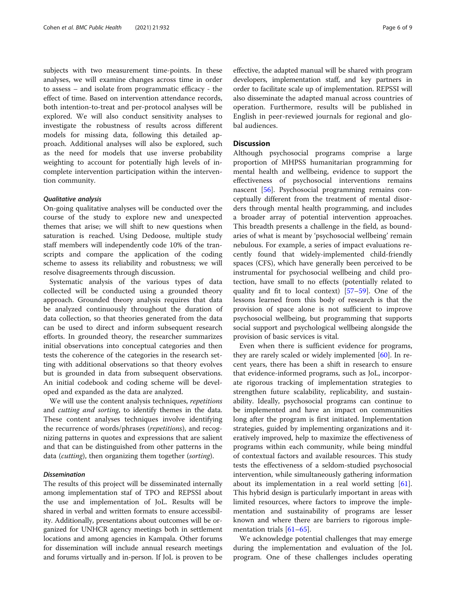subjects with two measurement time-points. In these analyses, we will examine changes across time in order to assess – and isolate from programmatic efficacy - the effect of time. Based on intervention attendance records, both intention-to-treat and per-protocol analyses will be explored. We will also conduct sensitivity analyses to investigate the robustness of results across different models for missing data, following this detailed approach. Additional analyses will also be explored, such as the need for models that use inverse probability weighting to account for potentially high levels of incomplete intervention participation within the intervention community.

### Qualitative analysis

On-going qualitative analyses will be conducted over the course of the study to explore new and unexpected themes that arise; we will shift to new questions when saturation is reached. Using Dedoose, multiple study staff members will independently code 10% of the transcripts and compare the application of the coding scheme to assess its reliability and robustness; we will resolve disagreements through discussion.

Systematic analysis of the various types of data collected will be conducted using a grounded theory approach. Grounded theory analysis requires that data be analyzed continuously throughout the duration of data collection, so that theories generated from the data can be used to direct and inform subsequent research efforts. In grounded theory, the researcher summarizes initial observations into conceptual categories and then tests the coherence of the categories in the research setting with additional observations so that theory evolves but is grounded in data from subsequent observations. An initial codebook and coding scheme will be developed and expanded as the data are analyzed.

We will use the content analysis techniques, repetitions and cutting and sorting, to identify themes in the data. These content analyses techniques involve identifying the recurrence of words/phrases (repetitions), and recognizing patterns in quotes and expressions that are salient and that can be distinguished from other patterns in the data (*cutting*), then organizing them together (*sorting*).

## Dissemination

The results of this project will be disseminated internally among implementation staf of TPO and REPSSI about the use and implementation of JoL. Results will be shared in verbal and written formats to ensure accessibility. Additionally, presentations about outcomes will be organized for UNHCR agency meetings both in settlement locations and among agencies in Kampala. Other forums for dissemination will include annual research meetings and forums virtually and in-person. If JoL is proven to be effective, the adapted manual will be shared with program developers, implementation staff, and key partners in order to facilitate scale up of implementation. REPSSI will also disseminate the adapted manual across countries of operation. Furthermore, results will be published in English in peer-reviewed journals for regional and global audiences.

## Discussion

Although psychosocial programs comprise a large proportion of MHPSS humanitarian programming for mental health and wellbeing, evidence to support the effectiveness of psychosocial interventions remains nascent [\[56\]](#page-8-0). Psychosocial programming remains conceptually different from the treatment of mental disorders through mental health programming, and includes a broader array of potential intervention approaches. This breadth presents a challenge in the field, as boundaries of what is meant by 'psychosocial wellbeing' remain nebulous. For example, a series of impact evaluations recently found that widely-implemented child-friendly spaces (CFS), which have generally been perceived to be instrumental for psychosocial wellbeing and child protection, have small to no effects (potentially related to quality and fit to local context) [[57](#page-8-0)–[59](#page-8-0)]. One of the lessons learned from this body of research is that the provision of space alone is not sufficient to improve psychosocial wellbeing, but programming that supports social support and psychological wellbeing alongside the provision of basic services is vital.

Even when there is sufficient evidence for programs, they are rarely scaled or widely implemented [[60](#page-8-0)]. In recent years, there has been a shift in research to ensure that evidence-informed programs, such as JoL, incorporate rigorous tracking of implementation strategies to strengthen future scalability, replicability, and sustainability. Ideally, psychosocial programs can continue to be implemented and have an impact on communities long after the program is first initiated. Implementation strategies, guided by implementing organizations and iteratively improved, help to maximize the effectiveness of programs within each community, while being mindful of contextual factors and available resources. This study tests the effectiveness of a seldom-studied psychosocial intervention, while simultaneously gathering information about its implementation in a real world setting [\[61](#page-8-0)]. This hybrid design is particularly important in areas with limited resources, where factors to improve the implementation and sustainability of programs are lesser known and where there are barriers to rigorous imple-mentation trials [[61](#page-8-0)–[65](#page-8-0)].

We acknowledge potential challenges that may emerge during the implementation and evaluation of the JoL program. One of these challenges includes operating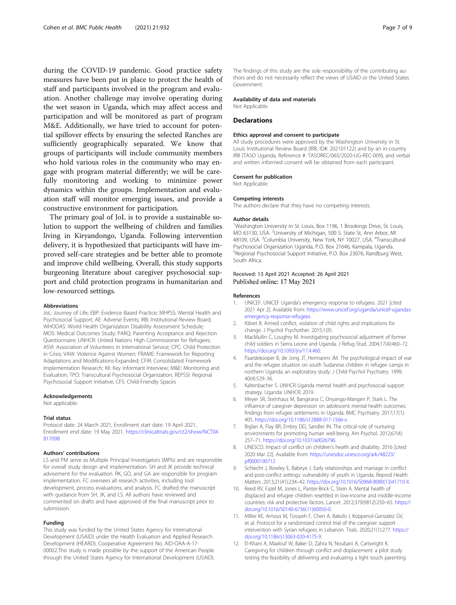<span id="page-6-0"></span>during the COVID-19 pandemic. Good practice safety measures have been put in place to protect the health of staff and participants involved in the program and evaluation. Another challenge may involve operating during the wet season in Uganda, which may affect access and participation and will be monitored as part of program M&E. Additionally, we have tried to account for potential spillover effects by ensuring the selected Ranches are sufficiently geographically separated. We know that groups of participants will include community members who hold various roles in the community who may engage with program material differently; we will be carefully monitoring and working to minimize power dynamics within the groups. Implementation and evaluation staff will monitor emerging issues, and provide a constructive environment for participation.

The primary goal of JoL is to provide a sustainable solution to support the wellbeing of children and families living in Kiryandongo, Uganda. Following intervention delivery, it is hypothesized that participants will have improved self-care strategies and be better able to promote and improve child wellbeing. Overall, this study supports burgeoning literature about caregiver psychosocial support and child protection programs in humanitarian and low-resourced settings.

#### Abbreviations

JoL: Journey of Life; EBP: Evidence Based Practice; MHPSS: Mental Health and Psychosocial Support; AE: Adverse Events; IRB: Institutional Review Board; WHODAS: World Health Organization Disability Assessment Schedule; MOS: Medical Outcomes Study; PARQ: Parenting Acceptance and Rejection Questionnaire; UNHCR: United Nations High Commissioner for Refugees; ASVI: Association of Volunteers in International Service; CPC: Child Protection in Crisis; VAW: Violence Against Women; FRAME: Framework for Reporting Adaptations and Modifications-Expanded; CFIR: Consolidated Framework Implementation Research; KII: Key Informant Interview; M&E: Monitoring and Evaluation; TPO: Transcultural Psychosocial Organization; REPSSI: Regional Psychosocial Support Initiative; CFS: Child-Friendly Spaces

#### Acknowledgements

Not applicable.

#### Trial status

Protocol date: 24 March 2021, Enrollment start date: 19 April 2021, Enrollment end date: 19 May 2021. [https://clinicaltrials.gov/ct2/show/NCT04](https://clinicaltrials.gov/ct2/show/NCT04817098) [817098](https://clinicaltrials.gov/ct2/show/NCT04817098)

## Authors' contributions

LS and PM serve as Multiple Principal Investigators (MPIs) and are responsible for overall study design and implementation. SH and JK provide technical advisement for the evaluation. RK, GO, and GA are responsible for program implementation. FC oversees all research activities, including tool development, process evaluations, and analysis. FC drafted the manuscript with guidance from SH, JK, and LS. All authors have reviewed and commented on drafts and have approved of the final manuscript prior to submission.

#### Funding

This study was funded by the United States Agency for International Development (USAID) under the Health Evaluation and Applied Research Development (HEARD), Cooperative Agreement No. AID-OAA-A-17- 00002.This study is made possible by the support of the American People through the United States Agency for International Development (USAID).

The findings of this study are the sole responsibility of the contributing authors and do not necessarily reflect the views of USAID or the United States Government.

#### Availability of data and materials

Not Applicable.

#### **Declarations**

#### Ethics approval and consent to participate

All study procedures were approved by the Washington University in St. Louis Institutional Review Board (IRB, ID#: 202101122) and by an in-country IRB (TASO Uganda, Reference #: TASOREC/065/2020-UG-REC-009), and verbal and written informed consent will be obtained from each participant.

#### Consent for publication

Not Applicable.

#### Competing interests

The authors declare that they have no competing interests.

#### Author details

<sup>1</sup>Washington University in St. Louis, Box 1196, 1 Brookings Drive, St. Louis MO 63130, USA. <sup>2</sup> University of Michigan, 500 S. State St, Ann Arbor, MI 48109, USA. <sup>3</sup>Columbia University, New York, NY 10027, USA. <sup>4</sup>Transcultural Psychosocial Organization Uganda, P.O. Box 21646, Kampala, Uganda. 5 Regional Psychosocial Support Initiative, P.O. Box 23076, Randburg West, South Africa.

## Received: 13 April 2021 Accepted: 26 April 2021 Published online: 17 May 2021

#### References

- 1. UNICEF. UNICEF Uganda's emergency response to refugees. 2021 [cited 2021 Apr 2]. Available from: [https://www.unicef.org/uganda/unicef-ugandas](https://www.unicef.org/uganda/unicef-ugandas-emergency-response-refugees)[emergency-response-refugees](https://www.unicef.org/uganda/unicef-ugandas-emergency-response-refugees)
- 2. Kibret B. Armed conflict, violation of child rights and implications for change. J Psychol Psychother. 2015;1:05.
- 3. MacMullin C, Loughry M. Investigating psychosocial adjustment of former child soldiers in Sierra Leone and Uganda. J Refug Stud. 2004;17(4):460–72. <https://doi.org/10.1093/jrs/17.4.460>.
- 4. Paardekooper B, de Jong JT, Hermanns JM. The psychological impact of war and the refugee situation on south Sudanese children in refugee camps in northern Uganda: an exploratory study. J Child Psychol Psychiatry. 1999; 40(4):529–36.
- 5. Kaltenbacher S. UNHCR Uganda mental health and psychosocial support strategy. Uganda: UNHCR; 2019.
- 6. Meyer SR, Steinhaus M, Bangirana C, Onyango-Mangen P, Stark L. The influence of caregiver depression on adolescent mental health outcomes: findings from refugee settlements in Uganda. BMC Psychiatry. 2017;17(1): 405. <https://doi.org/10.1186/s12888-017-1566-x>.
- 7. Biglan A, Flay BR, Embry DD, Sandler IN. The critical role of nurturing environments for promoting human well-being. Am Psychol. 2012;67(4): 257–71. [https://doi.org/10.1037/a0026796.](https://doi.org/10.1037/a0026796)
- UNESCO. Impact of conflict on children's health and disability. 2016 [cited 2020 Mar 22]. Available from: [https://unesdoc.unesco.org/ark:/48223/](https://unesdoc.unesco.org/ark:/48223/pf0000190712) [pf0000190712](https://unesdoc.unesco.org/ark:/48223/pf0000190712)
- 9. Schlecht J, Rowley E, Babirye J. Early relationships and marriage in conflict and post-conflict settings: vulnerability of youth in Uganda. Reprod Health Matters. 2013;21(41):234–42. [https://doi.org/10.1016/S0968-8080\(13\)41710-X.](https://doi.org/10.1016/S0968-8080(13)41710-X)
- 10. Reed RV, Fazel M, Jones L, Panter-Brick C, Stein A. Mental health of displaced and refugee children resettled in low-income and middle-income countries: risk and protective factors. Lancet. 2012;379(9812):250–65. [https://](https://doi.org/10.1016/S0140-6736(11)60050-0) [doi.org/10.1016/S0140-6736\(11\)60050-0](https://doi.org/10.1016/S0140-6736(11)60050-0).
- 11. Miller KE, Arnous M, Tossyeh F, Chen A, Bakolis I, Koppenol-Gonzalez GV, et al. Protocol for a randomized control trial of the caregiver support intervention with Syrian refugees in Lebanon. Trials. 2020;21(1):277. [https://](https://doi.org/10.1186/s13063-020-4175-9) [doi.org/10.1186/s13063-020-4175-9.](https://doi.org/10.1186/s13063-020-4175-9)
- 12. El-Khani A, Maalouf W, Baker D, Zahra N, Noubani A, Cartwright K. Caregiving for children through conflict and displacement: a pilot study testing the feasibility of delivering and evaluating a light touch parenting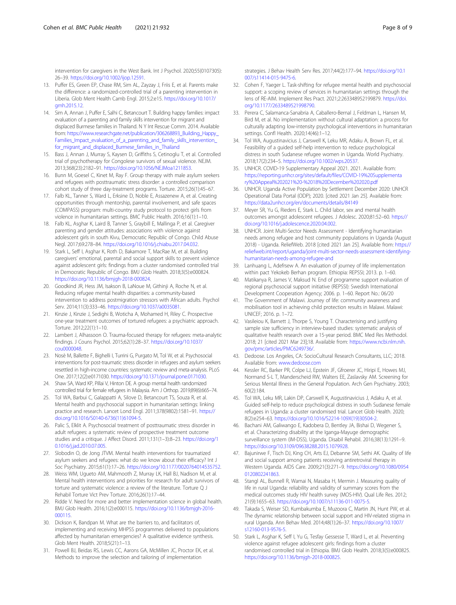<span id="page-7-0"></span>intervention for caregivers in the West Bank. Int J Psychol. 2020;55(0107305): 26–39. <https://doi.org/10.1002/ijop.12591>.

- 13. Puffer ES, Green EP, Chase RM, Sim AL, Zayzay J, Friis E, et al. Parents make the difference: a randomized-controlled trial of a parenting intervention in Liberia. Glob Ment Health Camb Engl. 2015;2:e15. [https://doi.org/10.1017/](https://doi.org/10.1017/gmh.2015.12) [gmh.2015.12.](https://doi.org/10.1017/gmh.2015.12)
- 14. Sim A, Annan J, Puffer E, Salhi C, Betancourt T. Building happy families: impact evaluation of a parenting and family skills intervention for migrant and displaced Burmese families in Thailand. N Y Int Rescue Comm. 2014. Available from: [https://www.researchgate.net/publication/306268893\\_Building\\_Happy\\_](https://www.researchgate.net/publication/306268893_Building_Happy_Families_Impact_evaluation_of_a_parenting_and_family_skills_intervention_for_migrant_and_displaced_Burmese_families_in_Thailand) [Families\\_Impact\\_evaluation\\_of\\_a\\_parenting\\_and\\_family\\_skills\\_intervention\\_](https://www.researchgate.net/publication/306268893_Building_Happy_Families_Impact_evaluation_of_a_parenting_and_family_skills_intervention_for_migrant_and_displaced_Burmese_families_in_Thailand) for migrant and displaced Burmese families in Thailand
- 15. Bass J, Annan J, Murray S, Kaysen D, Griffiths S, Cetinoglu T, et al. Controlled trial of psychotherapy for Congolese survivors of sexual violence. NEJM. 2013;368(23):2182–91. [https://doi.org/10.1056/NEJMoa1211853.](https://doi.org/10.1056/NEJMoa1211853)
- 16. Bunn M, Goesel C, Kinet M, Ray F. Group therapy with male asylum seekers and refugees with posttraumatic stress disorder: a controlled comparison cohort study of three day-treatment programs. Torture. 2015;26(1):45–67.
- 17. Falb KL, Tanner S, Ward L, Erksine D, Noble E, Assazenew A, et al. Creating opportunities through mentorship, parental involvement, and safe spaces (COMPASS) program: multi-country study protocol to protect girls from violence in humanitarian settings. BMC Public Health. 2016;16(1):1–10.
- 18. Falb KL, Asghar K, Laird B, Tanner S, Graybill E, Mallinga P, et al. Caregiver parenting and gender attitudes: associations with violence against adolescent girls in south Kivu, Democratic Republic of Congo. Child Abuse Negl. 2017;69:278–84. <https://doi.org/10.1016/j.chiabu.2017.04.032>.
- 19. Stark L, Seff I, Asghar K, Roth D, Bakamore T, MacRae M, et al. Building caregivers' emotional, parental and social support skills to prevent violence against adolescent girls: findings from a cluster randomised controlled trial in Democratic Republic of Congo. BMJ Glob Health. 2018;3(5):e000824. [https://doi.org/10.1136/bmjgh-2018-000824.](https://doi.org/10.1136/bmjgh-2018-000824)
- 20. Goodkind JR, Hess JM, Isakson B, LaNoue M, Githinji A, Roche N, et al. Reducing refugee mental health disparities: a community-based intervention to address postmigration stressors with African adults. Psychol Serv. 2014;11(3):333–46. <https://doi.org/10.1037/a0035081>.
- 21. Kinzie J, Kinzie J, Sedighi B, Woticha A, Mohamed H, Riley C. Prospective one-year treatment outcomes of tortured refugees: a psychiatric approach. Torture. 2012;22(1):1–10.
- 22. Lambert J, Alhassoon O. Trauma-focused therapy for refugees: meta-analytic findings. J Couns Psychol. 2015;62(1):28–37. [https://doi.org/10.1037/](https://doi.org/10.1037/cou0000048) [cou0000048](https://doi.org/10.1037/cou0000048).
- 23. Nosè M, Ballette F, Bighelli I, Turrini G, Purgato M, Tol W, et al. Psychosocial interventions for post-traumatic stress disorder in refugees and asylum seekers resettled in high-income countries: systematic review and meta-analysis. PLoS One. 2017;12(2):e0171030. [https://doi.org/10.1371/journal.pone.0171030.](https://doi.org/10.1371/journal.pone.0171030)
- 24. Shaw SA, Ward KP, Pillai V, Hinton DE. A group mental health randomized controlled trial for female refugees in Malaysia. Am J Orthop. 2019;89(6):665–74.
- 25. Tol WA, Barbui C, Galappatti A, Silove D, Betancourt TS, Souza R, et al. Mental health and psychosocial support in humanitarian settings: linking practice and research. Lancet Lond Engl. 2011;378(9802):1581–91. [https://](https://doi.org/10.1016/S0140-6736(11)61094-5) [doi.org/10.1016/S0140-6736\(11\)61094-5](https://doi.org/10.1016/S0140-6736(11)61094-5).
- 26. Palic S, Elklit A. Psychosocial treatment of posttraumatic stress disorder in adult refugees: a systematic review of prospective treatment outcome studies and a critique. J Affect Disord. 2011;131(1–3):8–23. [https://doi.org/1](https://doi.org/10.1016/j.jad.2010.07.005) [0.1016/j.jad.2010.07.005.](https://doi.org/10.1016/j.jad.2010.07.005)
- 27. Slobodin O, de Jong JTVM. Mental health interventions for traumatized asylum seekers and refugees: what do we know about their efficacy? Int J Soc Psychiatry. 2015;61(1):17–26. [https://doi.org/10.1177/0020764014535752.](https://doi.org/10.1177/0020764014535752)
- 28. Weiss WM, Ugueto AM, Mahmooth Z, Murray LK, Hall BJ, Nadison M, et al. Mental health interventions and priorities for research for adult survivors of torture and systematic violence: a review of the literature. Torture Q J Rehabil Torture Vict Prev Torture. 2016;26(1):17–44.
- 29. Ridde V. Need for more and better implementation science in global health. BMJ Glob Health. 2016;1(2):e000115. [https://doi.org/10.1136/bmjgh-2016-](https://doi.org/10.1136/bmjgh-2016-000115) [000115](https://doi.org/10.1136/bmjgh-2016-000115).
- 30. Dickson K, Bandpan M. What are the barriers to, and facilitators of, implementing and receiving MHPSS programmes delivered to populations affected by humanitarian emergencies? A qualitative evidence synthesis. Glob Ment Health. 2018;5(21):1–13.
- 31. Powell BJ, Beidas RS, Lewis CC, Aarons GA, McMillen JC, Proctor EK, et al. Methods to improve the selection and tailoring of implementation

strategies. J Behav Health Serv Res. 2017;44(2):177–94. [https://doi.org/10.1](https://doi.org/10.1007/s11414-015-9475-6) [007/s11414-015-9475-6.](https://doi.org/10.1007/s11414-015-9475-6)

- 32. Cohen F, Yaeger L. Task-shifting for refugee mental health and psychosocial support: a scoping review of services in humanitarian settings through the lens of RE-AIM. Implement Res Pract. 2021;2:263348952199879. [https://doi.](https://doi.org/10.1177/2633489521998790) [org/10.1177/2633489521998790.](https://doi.org/10.1177/2633489521998790)
- 33. Perera C, Salamanca-Sanabria A, Caballero-Bernal J, Feldman L, Hansen M, Bird M, et al. No implementation without cultural adaptation: a process for culturally adapting low-intensity psychological interventions in humanitarian settings. Confl Health. 2020;14(46):1–12.
- 34. Tol WA, Augustinavicius J, Carswell K, Leku MR, Adaku A, Brown FL, et al. Feasibility of a guided self-help intervention to reduce psychological distress in south Sudanese refugee women in Uganda. World Psychiatry. 2018;17(2):234–5. <https://doi.org/10.1002/wps.20537>.
- 35. UNHCR. COVID-19 Supplementary Appeal 2021. 2021. Available from: [https://reporting.unhcr.org/sites/default/files/COVID-19%20Supplementa](https://reporting.unhcr.org/sites/default/files/COVID-19%20Supplementary%20Appeal%202021%20-%2018%20December%202020.pdf) [ry%20Appeal%202021%20-%2018%20December%202020.pdf](https://reporting.unhcr.org/sites/default/files/COVID-19%20Supplementary%20Appeal%202021%20-%2018%20December%202020.pdf)
- 36. UNHCR. Uganda Active Population by Settlement December 2020: UNHCR Operational Data Portal (ODP); 2020. [cited 2021 Jan 25]. Available from: <https://data2unhcr.org/en/documents/details/84149>
- 37. Meyer SR, Yu G, Rieders E, Stark L. Child labor, sex and mental health outcomes amongst adolescent refugees. J Adolesc. 2020;81:52–60. [https://](https://doi.org/10.1016/j.adolescence.2020.04.002) [doi.org/10.1016/j.adolescence.2020.04.002](https://doi.org/10.1016/j.adolescence.2020.04.002).
- 38. UNHCR. Joint Multi-Sector Needs Assessment Identifying humanitarian needs among refugee and host community populations in Uganda (August 2018) - Uganda. ReliefWeb. 2018 [cited 2021 Jan 25]. Available from: [https://](https://reliefweb.int/report/uganda/joint-multi-sector-needs-assessment-identifying-humanitarian-needs-among-refugee-and) [reliefweb.int/report/uganda/joint-multi-sector-needs-assessment-identifying](https://reliefweb.int/report/uganda/joint-multi-sector-needs-assessment-identifying-humanitarian-needs-among-refugee-and)[humanitarian-needs-among-refugee-and](https://reliefweb.int/report/uganda/joint-multi-sector-needs-assessment-identifying-humanitarian-needs-among-refugee-and)
- 39. Lanhuang L, Adefrsew A. An evaluation of journey of life implementation within pact Yekokeb Berhan program. Ethiopia: REPSSI; 2013. p. 1–60.
- 40. Matikanya R, James V, Maksud N. End of programme support evaluation of regional psychosocial support initiative (REPSSI): Swedish International Development Cooperation Agency; 2006. p. 1–60. Report No.: 06/20
- 41. The Government of Malawi. Journey of life: community awareness and mobilisation tool in achieving child protection results in Malawi. Malawi: UNICEF; 2016. p. 1–72.
- 42. Vasileiou K, Barnett J, Thorpe S, Young T. Characterising and justifying sample size sufficiency in interview-based studies: systematic analysis of qualitative health research over a 15-year period. BMC Med Res Methodol. 2018; 21 [cited 2021 Mar 23];18. Available from: [https://www.ncbi.nlm.nih.](https://www.ncbi.nlm.nih.gov/pmc/articles/PMC6249736/) [gov/pmc/articles/PMC6249736/.](https://www.ncbi.nlm.nih.gov/pmc/articles/PMC6249736/)
- 43. Dedoose. Los Angeles, CA: SocioCultural Research Consultants, LLC; 2018. Available from: [www.dedoose.com](https://www.dedoose.com)
- 44. Kessler RC, Barker PR, Colpe LJ, Epstein JF, Gfroerer JC, Hiripi E, Howes MJ, Normand S-L T, Manderscheid RW, Walters EE, Zaslavsky AM. Screening for Serious Mental Illness in the General Population. Arch Gen Psychiatry. 2003; 60(2):184.
- 45. Tol WA, Leku MR, Lakin DP, Carswell K, Augustinavicius J, Adaku A, et al. Guided self-help to reduce psychological distress in south Sudanese female refugees in Uganda: a cluster randomised trial. Lancet Glob Health. 2020; 8(2):e254–63. [https://doi.org/10.1016/S2214-109X\(19\)30504-2](https://doi.org/10.1016/S2214-109X(19)30504-2).
- 46. Bachani AM, Galiwango E, Kadobera D, Bentley JA, Bishai D, Wegener S, et al. Characterizing disability at the Iganga-Mayuge demographic surveillance system (IM-DSS), Uganda. Disabil Rehabil. 2016;38(13):1291–9. <https://doi.org/10.3109/09638288.2015.1079928>.
- 47. Bajunirwe F, Tisch DJ, King CH, Arts EJ, Debanne SM, Sethi AK. Quality of life and social support among patients receiving antiretroviral therapy in Western Uganda. AIDS Care. 2009;21(3):271–9. [https://doi.org/10.1080/0954](https://doi.org/10.1080/09540120802241863) [0120802241863](https://doi.org/10.1080/09540120802241863).
- 48. Stangl AL, Bunnell R, Wamai N, Masaba H, Mermin J. Measuring quality of life in rural Uganda: reliability and validity of summary scores from the medical outcomes study HIV health survey (MOS-HIV). Qual Life Res. 2012; 21(9):1655–63. [https://doi.org/10.1007/s11136-011-0075-5.](https://doi.org/10.1007/s11136-011-0075-5)
- 49. Takada S, Weiser SD, Kumbakumba E, Muzoora C, Martin JN, Hunt PW, et al. The dynamic relationship between social support and HIV-related stigma in rural Uganda. Ann Behav Med. 2014;48(1):26–37. [https://doi.org/10.1007/](https://doi.org/10.1007/s12160-013-9576-5) [s12160-013-9576-5.](https://doi.org/10.1007/s12160-013-9576-5)
- 50. Stark L, Asghar K, Seff I, Yu G, Tesfay Gessesse T, Ward L, et al. Preventing violence against refugee adolescent girls: findings from a cluster randomised controlled trial in Ethiopia. BMJ Glob Health. 2018;3(5):e000825. [https://doi.org/10.1136/bmjgh-2018-000825.](https://doi.org/10.1136/bmjgh-2018-000825)